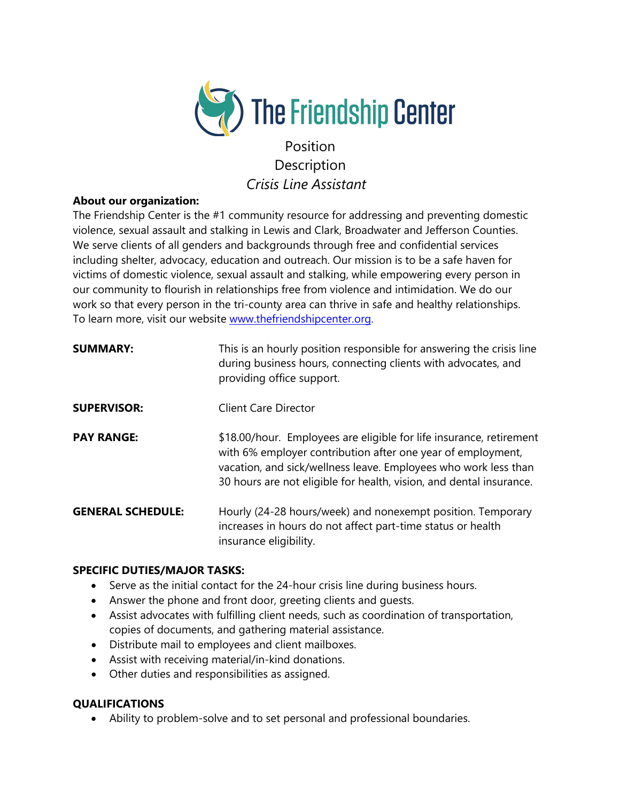

# Position Description *Crisis Line Assistant*

### **About our organization:**

The Friendship Center is the #1 community resource for addressing and preventing domestic violence, sexual assault and stalking in Lewis and Clark, Broadwater and Jefferson Counties. We serve clients of all genders and backgrounds through free and confidential services including shelter, advocacy, education and outreach. Our mission is to be a safe haven for victims of domestic violence, sexual assault and stalking, while empowering every person in our community to flourish in relationships free from violence and intimidation. We do our work so that every person in the tri-county area can thrive in safe and healthy relationships. To learn more, visit our website [www.thefriendshipcenter.org.](http://www.thefriendshipcenter.org/)

| <b>SUMMARY:</b>          | This is an hourly position responsible for answering the crisis line<br>during business hours, connecting clients with advocates, and<br>providing office support.                                                                                                           |
|--------------------------|------------------------------------------------------------------------------------------------------------------------------------------------------------------------------------------------------------------------------------------------------------------------------|
| <b>SUPERVISOR:</b>       | <b>Client Care Director</b>                                                                                                                                                                                                                                                  |
| <b>PAY RANGE:</b>        | \$18.00/hour. Employees are eligible for life insurance, retirement<br>with 6% employer contribution after one year of employment,<br>vacation, and sick/wellness leave. Employees who work less than<br>30 hours are not eligible for health, vision, and dental insurance. |
| <b>GENERAL SCHEDULE:</b> | Hourly (24-28 hours/week) and nonexempt position. Temporary<br>increases in hours do not affect part-time status or health<br>insurance eligibility.                                                                                                                         |

## **SPECIFIC DUTIES/MAJOR TASKS:**

- Serve as the initial contact for the 24-hour crisis line during business hours.
- Answer the phone and front door, greeting clients and guests.
- Assist advocates with fulfilling client needs, such as coordination of transportation, copies of documents, and gathering material assistance.
- Distribute mail to employees and client mailboxes.
- Assist with receiving material/in-kind donations.
- Other duties and responsibilities as assigned.

### **QUALIFICATIONS**

• Ability to problem-solve and to set personal and professional boundaries.